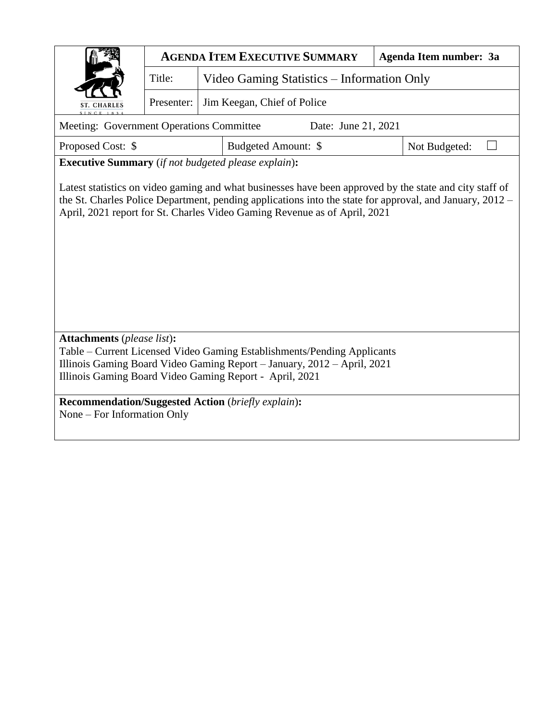|                                                                                                                                                                                                               | <b>AGENDA ITEM EXECUTIVE SUMMARY</b><br>Agenda Item number: 3a |  |                     |               |  |  |  |  |  |  |
|---------------------------------------------------------------------------------------------------------------------------------------------------------------------------------------------------------------|----------------------------------------------------------------|--|---------------------|---------------|--|--|--|--|--|--|
|                                                                                                                                                                                                               | Title:<br>Video Gaming Statistics – Information Only           |  |                     |               |  |  |  |  |  |  |
| <b>ST. CHARLES</b>                                                                                                                                                                                            | Jim Keegan, Chief of Police<br>Presenter:                      |  |                     |               |  |  |  |  |  |  |
| Meeting: Government Operations Committee<br>Date: June 21, 2021                                                                                                                                               |                                                                |  |                     |               |  |  |  |  |  |  |
| Proposed Cost: \$                                                                                                                                                                                             |                                                                |  | Budgeted Amount: \$ | Not Budgeted: |  |  |  |  |  |  |
| <b>Executive Summary</b> (if not budgeted please explain):                                                                                                                                                    |                                                                |  |                     |               |  |  |  |  |  |  |
| the St. Charles Police Department, pending applications into the state for approval, and January, 2012 –<br>April, 2021 report for St. Charles Video Gaming Revenue as of April, 2021                         |                                                                |  |                     |               |  |  |  |  |  |  |
| <b>Attachments</b> (please list):                                                                                                                                                                             |                                                                |  |                     |               |  |  |  |  |  |  |
| Table – Current Licensed Video Gaming Establishments/Pending Applicants<br>Illinois Gaming Board Video Gaming Report - January, 2012 - April, 2021<br>Illinois Gaming Board Video Gaming Report - April, 2021 |                                                                |  |                     |               |  |  |  |  |  |  |
| Recommendation/Suggested Action (briefly explain):<br>None – For Information Only                                                                                                                             |                                                                |  |                     |               |  |  |  |  |  |  |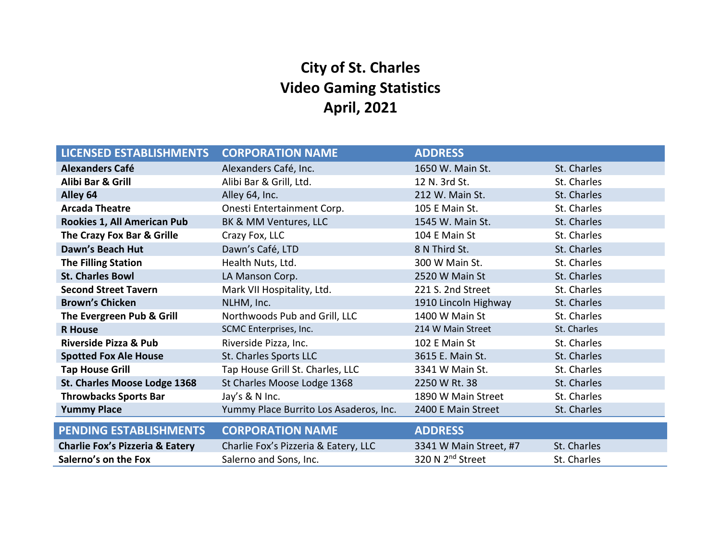# **City of St. Charles Video Gaming Statistics April, 2021**

| <b>LICENSED ESTABLISHMENTS</b>             | <b>CORPORATION NAME</b>                | <b>ADDRESS</b>               |             |
|--------------------------------------------|----------------------------------------|------------------------------|-------------|
| <b>Alexanders Café</b>                     | Alexanders Café, Inc.                  | 1650 W. Main St.             | St. Charles |
| Alibi Bar & Grill                          | Alibi Bar & Grill, Ltd.                | 12 N. 3rd St.                | St. Charles |
| Alley 64                                   | Alley 64, Inc.                         | 212 W. Main St.              | St. Charles |
| <b>Arcada Theatre</b>                      | Onesti Entertainment Corp.             | 105 E Main St.               | St. Charles |
| Rookies 1, All American Pub                | BK & MM Ventures, LLC                  | 1545 W. Main St.             | St. Charles |
| The Crazy Fox Bar & Grille                 | Crazy Fox, LLC                         | 104 E Main St                | St. Charles |
| Dawn's Beach Hut                           | Dawn's Café, LTD                       | 8 N Third St.                | St. Charles |
| <b>The Filling Station</b>                 | Health Nuts, Ltd.                      | 300 W Main St.               | St. Charles |
| <b>St. Charles Bowl</b>                    | LA Manson Corp.                        | 2520 W Main St               | St. Charles |
| <b>Second Street Tavern</b>                | Mark VII Hospitality, Ltd.             | 221 S. 2nd Street            | St. Charles |
| <b>Brown's Chicken</b>                     | NLHM, Inc.                             | 1910 Lincoln Highway         | St. Charles |
| The Evergreen Pub & Grill                  | Northwoods Pub and Grill, LLC          | 1400 W Main St               | St. Charles |
| <b>R</b> House                             | SCMC Enterprises, Inc.                 | 214 W Main Street            | St. Charles |
| Riverside Pizza & Pub                      | Riverside Pizza, Inc.                  | 102 E Main St                | St. Charles |
| <b>Spotted Fox Ale House</b>               | St. Charles Sports LLC                 | 3615 E. Main St.             | St. Charles |
| <b>Tap House Grill</b>                     | Tap House Grill St. Charles, LLC       | 3341 W Main St.              | St. Charles |
| St. Charles Moose Lodge 1368               | St Charles Moose Lodge 1368            | 2250 W Rt. 38                | St. Charles |
| <b>Throwbacks Sports Bar</b>               | Jay's & N Inc.                         | 1890 W Main Street           | St. Charles |
| <b>Yummy Place</b>                         | Yummy Place Burrito Los Asaderos, Inc. | 2400 E Main Street           | St. Charles |
| <b>PENDING ESTABLISHMENTS</b>              | <b>CORPORATION NAME</b>                | <b>ADDRESS</b>               |             |
|                                            |                                        |                              |             |
| <b>Charlie Fox's Pizzeria &amp; Eatery</b> | Charlie Fox's Pizzeria & Eatery, LLC   | 3341 W Main Street, #7       | St. Charles |
| Salerno's on the Fox                       | Salerno and Sons, Inc.                 | 320 N 2 <sup>nd</sup> Street | St. Charles |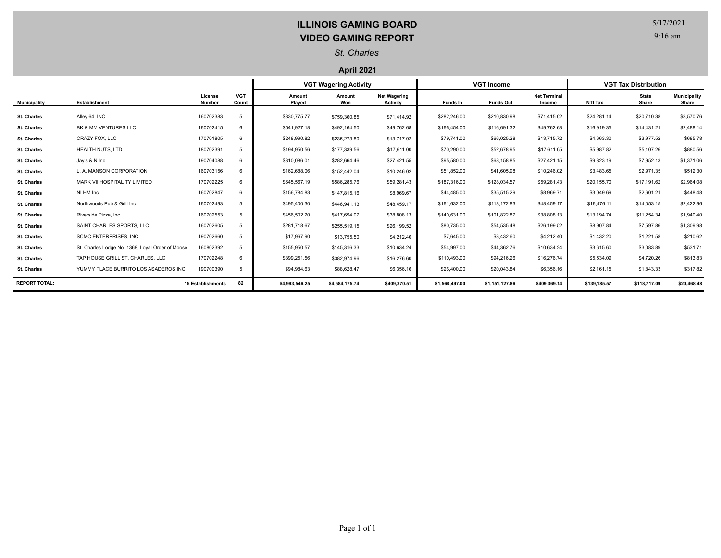## **ILLINOIS GAMING BOARD VIDEO GAMING REPORT**

5/17/2021

9:16 am

### *St. Charles*

#### **April 2021**

|                      |                                                  |                          |                     | <b>VGT Wagering Activity</b> |                |                                        | <b>VGT Income</b> |                  |                               | <b>VGT Tax Distribution</b> |                       |                              |
|----------------------|--------------------------------------------------|--------------------------|---------------------|------------------------------|----------------|----------------------------------------|-------------------|------------------|-------------------------------|-----------------------------|-----------------------|------------------------------|
| <b>Municipality</b>  | <b>Establishment</b>                             | License<br>Number        | <b>VGT</b><br>Count | Amount<br>Played             | Amount<br>Won  | <b>Net Wagering</b><br><b>Activity</b> | Funds In          | <b>Funds Out</b> | <b>Net Terminal</b><br>Income | NTI Tax                     | <b>State</b><br>Share | <b>Municipality</b><br>Share |
| <b>St. Charles</b>   | Alley 64, INC.                                   | 160702383                | 5                   | \$830,775,77                 | \$759,360.85   | \$71,414.92                            | \$282,246.00      | \$210,830.98     | \$71,415.02                   | \$24,281.14                 | \$20,710.38           | \$3,570.76                   |
| <b>St. Charles</b>   | BK & MM VENTURES LLC                             | 160702415                | 6                   | \$541,927.18                 | \$492,164.50   | \$49,762.68                            | \$166,454.00      | \$116,691.32     | \$49,762.68                   | \$16,919.35                 | \$14,431.21           | \$2,488.14                   |
| <b>St. Charles</b>   | CRAZY FOX, LLC                                   | 170701805                | 6                   | \$248,990.82                 | \$235,273.80   | \$13,717.02                            | \$79,741.00       | \$66,025.28      | \$13,715.72                   | \$4,663.30                  | \$3,977.52            | \$685.78                     |
| <b>St. Charles</b>   | HEALTH NUTS, LTD.                                | 180702391                | 5                   | \$194,950.56                 | \$177,339.56   | \$17,611.00                            | \$70,290.00       | \$52,678.95      | \$17,611.05                   | \$5,987.82                  | \$5,107.26            | \$880.56                     |
| <b>St. Charles</b>   | Jay's & N Inc.                                   | 190704088                |                     | \$310,086.01                 | \$282,664.46   | \$27,421.55                            | \$95,580.00       | \$68,158.85      | \$27,421.15                   | \$9,323.19                  | \$7,952.13            | \$1,371.06                   |
| <b>St. Charles</b>   | L. A. MANSON CORPORATION                         | 160703156                |                     | \$162,688.06                 | \$152,442.04   | \$10,246.02                            | \$51,852.00       | \$41,605.98      | \$10,246.02                   | \$3,483.65                  | \$2,971.35            | \$512.30                     |
| <b>St. Charles</b>   | MARK VII HOSPITALITY LIMITED                     | 170702225                | 6                   | \$645,567.19                 | \$586,285.76   | \$59,281.43                            | \$187,316.00      | \$128,034.57     | \$59,281.43                   | \$20,155.70                 | \$17,191.62           | \$2,964.08                   |
| <b>St. Charles</b>   | NLHM Inc.                                        | 160702847                | 6                   | \$156,784.83                 | \$147,815.16   | \$8,969.67                             | \$44,485.00       | \$35,515.29      | \$8,969.71                    | \$3,049.69                  | \$2,601.21            | \$448.48                     |
| <b>St. Charles</b>   | Northwoods Pub & Grill Inc.                      | 160702493                | 5                   | \$495,400.30                 | \$446,941.13   | \$48,459.17                            | \$161,632.00      | \$113,172.83     | \$48,459.17                   | \$16,476.11                 | \$14,053.15           | \$2,422.96                   |
| <b>St. Charles</b>   | Riverside Pizza, Inc.                            | 160702553                | 5                   | \$456,502.20                 | \$417,694.07   | \$38,808.13                            | \$140,631.00      | \$101,822.87     | \$38,808.13                   | \$13,194.74                 | \$11,254.34           | \$1,940.40                   |
| <b>St. Charles</b>   | SAINT CHARLES SPORTS, LLC                        | 160702605                |                     | \$281,718.67                 | \$255,519.15   | \$26,199.52                            | \$80,735.00       | \$54,535.48      | \$26,199.52                   | \$8,907.84                  | \$7,597.86            | \$1,309.98                   |
| <b>St. Charles</b>   | SCMC ENTERPRISES, INC.                           | 190702660                |                     | \$17,967.90                  | \$13,755.50    | \$4,212.40                             | \$7,645.00        | \$3,432.60       | \$4,212.40                    | \$1,432.20                  | \$1,221.58            | \$210.62                     |
| <b>St. Charles</b>   | St. Charles Lodge No. 1368, Loyal Order of Moose | 160802392                |                     | \$155,950.57                 | \$145,316.33   | \$10,634.24                            | \$54,997.00       | \$44,362.76      | \$10,634.24                   | \$3,615.60                  | \$3,083.89            | \$531.71                     |
| <b>St. Charles</b>   | TAP HOUSE GRILL ST. CHARLES, LLC                 | 170702248                | 6                   | \$399,251.56                 | \$382.974.96   | \$16,276.60                            | \$110,493.00      | \$94,216.26      | \$16,276.74                   | \$5,534.09                  | \$4,720.26            | \$813.83                     |
| <b>St. Charles</b>   | YUMMY PLACE BURRITO LOS ASADEROS INC.            | 190700390                | 5                   | \$94,984.63                  | \$88,628.47    | \$6,356.16                             | \$26,400.00       | \$20,043.84      | \$6,356.16                    | \$2,161.15                  | \$1,843.33            | \$317.82                     |
| <b>REPORT TOTAL:</b> |                                                  | <b>15 Establishments</b> | 82                  | \$4.993.546.25               | \$4,584,175.74 | \$409,370.51                           | \$1,560,497.00    | \$1,151,127.86   | \$409,369.14                  | \$139,185.57                | \$118,717.09          | \$20,468.48                  |